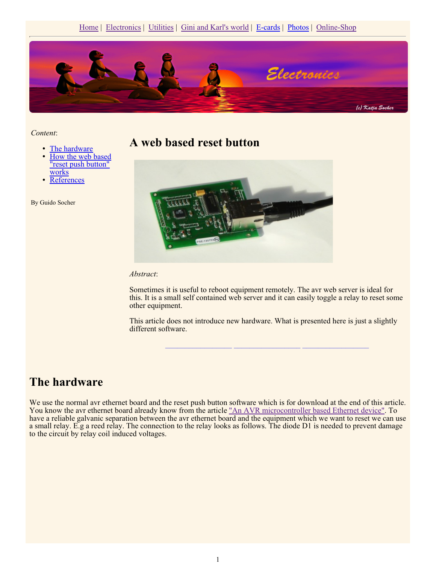

*Content*:

- The hardware
- How the web based "reset push button" works
- **References**

By Guido Socher

#### **A web based reset button**



#### *Abstract*:

Sometimes it is useful to reboot equipment remotely. The avr web server is ideal for this. It is a small self contained web server and it can easily toggle a relay to reset some other equipment.

This article does not introduce new hardware. What is presented here is just a slightly different software.

**\_\_\_\_\_\_\_\_\_\_\_\_\_\_\_\_\_ \_\_\_\_\_\_\_\_\_\_\_\_\_\_\_\_\_ \_\_\_\_\_\_\_\_\_\_\_\_\_\_\_\_\_**

## **The hardware**

We use the normal avr ethernet board and the reset push button software which is for download at the end of this article. You know the avr ethernet board already know from the article "An AVR microcontroller based Ethernet device". To have a reliable galvanic separation between the avr ethernet board and the equipment which we want to reset we can use a small relay. E.g a reed relay. The connection to the relay looks as follows. The diode D1 is needed to prevent damage to the circuit by relay coil induced voltages.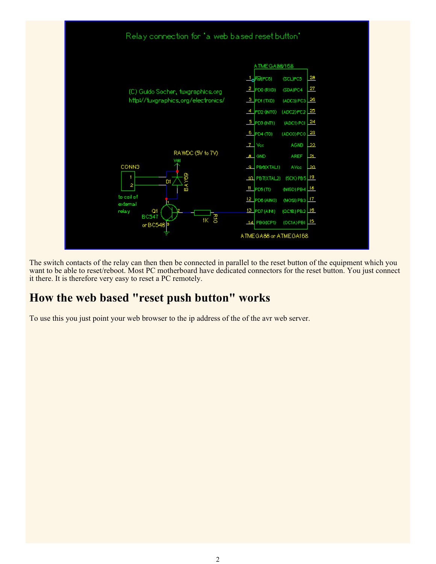

The switch contacts of the relay can then then be connected in parallel to the reset button of the equipment which you want to be able to reset/reboot. Most PC motherboard have dedicated connectors for the reset button. You just connect it there. It is therefore very easy to reset a PC remotely.

# **How the web based "reset push button" works**

To use this you just point your web browser to the ip address of the of the avr web server.